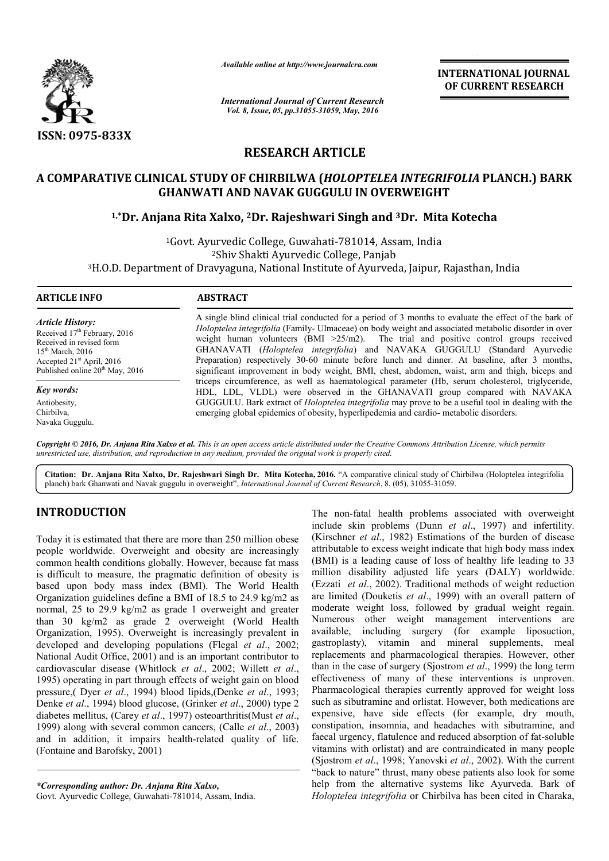

*Available online at http://www.journalcra.com*

*International Journal of Current Research Vol. 8, Issue, 05, pp.31055-31059, May, 2016*

**INTERNATIONAL JOURNAL OF CURRENT RESEARCH** 

# **RESEARCH ARTICLE**

## **A COMPARATIVE CLINICAL STUDY OF CHIRBILWA (** *HOLOPTELEA INTEGRIFOLIA HOLOPTELEA*  **PLANCH.) BARK GHANWATI AND NAVAK GUGGULU IN OVERWEIGHT**

## <sup>1,</sup>\*Dr. Anjana Rita Xalxo, <sup>2</sup>Dr. Rajeshwari Singh and <sup>3</sup>Dr. Mita Kotecha

<sup>1</sup>Govt. Ayurvedic College, Guwahati-781014, Assam, India 2Shiv Shakti Ayurvedic College, Panjab <sup>1</sup>Govt. Ayurvedic College, Guwahati-781014, Assam, India<br>2Shiv Shakti Ayurvedic College, Panjab<br>3H.O.D. Department of Dravyaguna, National Institute of Ayurveda, Jaipur, Rajasthan, India

 $\overline{a}$ 

*Article History:* Received 17<sup>th</sup> February, 2016 Received in revised form 15th March, 2016 Accepted 21st April, 2016

Published online 20<sup>th</sup> May, 2016

*Key words:* Antiobesity, Chirbilva, Navaka Guggulu.

## **ARTICLE INFO ABSTRACT**

A single blind clinical trial conducted for a period of 3 months to evaluate the effect of the bark of *Holoptelea integrifolia* (Family- Ulmaceae) on body weight and associated metabolic disorder in over weight human volunteers  $(BMI > 25/m2)$ . The trial and positive control groups received GHANAVATI ( *Holoptelea integrifolia*) and NAVAKA GUGGULU (Standard Ayurvedic Preparation) respectively 30-60 minute before lunch and dinner. At baseline, after 3 months, significant improvement in body weight, BMI, chest, abdomen, waist, arm and thigh, biceps and triceps circumference, as well as haematological parameter (Hb, serum cholesterol, trig HDL, LDL, VLDL) were observed in the GHANAVATI group compared with NAVAKA GUGGULU. Bark extract of *Holoptelea integrifolia* may prove to be a useful tool in dealing with the emerging global epidemics of obesity, hyperlipedemia and cardio-A single blind clinical trial conducted for a period of 3 months to evaluate the effect of the bark of *Holoptelea integrifolia* (Family-Ulmaceae) on body weight and associated metabolic disorder in over weight human volun HDL, LDL, VLDL) were observed in the GHANAVATI group compared with GUGGULU. Bark extract of *Holoptelea integrifolia* may prove to be a useful tool in deal emerging global epidemics of obesity, hyperlipedemia and cardio-me

Copyright © 2016, Dr. Anjana Rita Xalxo et al. This is an open access article distributed under the Creative Commons Attribution License, which permits *unrestricted use, distribution, and reproduction in any medium, provided the original work is properly cited.*

Citation: Dr. Anjana Rita Xalxo, Dr. Rajeshwari Singh Dr. Mita Kotecha, 2016. "A comparative clinical study of Chirbilwa (Holoptelea integrifolia planch) bark Ghanwati and Navak guggulu in overweight", *International Journal of Current Research*, 8, (05), 31055-31059.

## **INTRODUCTION**

Today it is estimated that there are more than 250 million obese people worldwide. Overweight and obesity are increasingly common health conditions globally. However, because fat mass is difficult to measure, the pragmatic definition of obesity is based upon body mass index (BMI). The World Health Organization guidelines define a BMI of 18.5 to 24.9 kg/m2 as normal, 25 to 29.9 kg/m2 as grade 1 overweight and greater than 30 kg/m2 as grade 2 overweight (World Health Organization, 1995). Overweight is increasingly prevalent in developed and developing populations (Flegal et al., 2002; National Audit Office, 2001) and is an important contributor to cardiovascular disease (Whitlock *et al.*, 2002; Willett *et al.*, 1995) operating in part through effects of weight gain on blood pressure,( Dyer *et al*., 1994) blood lipids,(Denke Denke *et al*., 1993; Denke *et al*., 1994) blood glucose, (Grinker *et al*., 2000) type 2 diabetes mellitus, (Carey *et al.*, 1997) osteoarthritis(Must *et al.*, 1999) along with several common cancers, ( (Calle *et al*., 2003) and in addition, it impairs health-related quality of life. (Fontaine and Barofsky, 2001)

Govt. Ayurvedic College, Guwahati-781014, Assam, India.

The non-fatal health problems associated with overweight The non-fatal health problems associated with overweight include skin problems (Dunn *et al.*, 1997) and infertility. (Kirschner *et al.*, 1982) Estimations of the burden of disease attributable to excess weight indicate that high body mass index attributable to excess weight indicate that high body mass index (BMI) is a leading cause of loss of healthy life leading to 33 (BMI) is a leading cause of loss of healthy life leading to 33 million disability adjusted life years (DALY) worldwide. (Ezzati *et al*., 2002). Traditional methods of weight reduction (Ezzati *et al.*, 2002). Traditional methods of weight reduction are limited (Douketis *et al.*, 1999) with an overall pattern of moderate weight loss, followed by gradual weight regain. Numerous other weight management interventions are available, including surgery (for example liposuction, gastroplasty), vitamin and mineral supplements, meal replacements and pharmacological therapies. However, other than in the case of surgery (Sjostrom et al., 1999) the long term effectiveness of many of these interventions is unproven. Pharmacological therapies currently approved for weight loss such as sibutramine and orlistat. However, both medications are expensive, have side effects (for example, dry mouth, constipation, insomnia, and headaches with sibutramine, and faecal urgency, flatulence and reduced absorption of fat vitamins with orlistat) and are contraindicated in many people (Sjostrom *et al*., 1998; Yanovski *et al*., 2002). With the current "back to nature" thrust, many obese patients also look for some help from the alternative systems like Ayurveda. Bark of *Holoptelea integrifolia* or Chirbilva derate weight loss, followed by gradual weight regain.<br>
merous other weight management interventions are<br>
ilable, including surgery (for example liposuction,<br>
roplasty), vitamin and mineral supplements, meal<br>
acements and veness of many of these interventions is unproven.<br>acological therapies currently approved for weight loss<br>s sibutramine and orlistat. However, both medications are<br>ive, have side effects (for example, dry mouth,<br>pation, i "back to nature" thrust, many obese patients also look for some help from the alternative systems like Ayurveda. Bark of *Holoptelea integrifolia* or Chirbilva has been cited in Charaka,

*<sup>\*</sup>Corresponding author: Dr. Anjana Rita Xalxo,*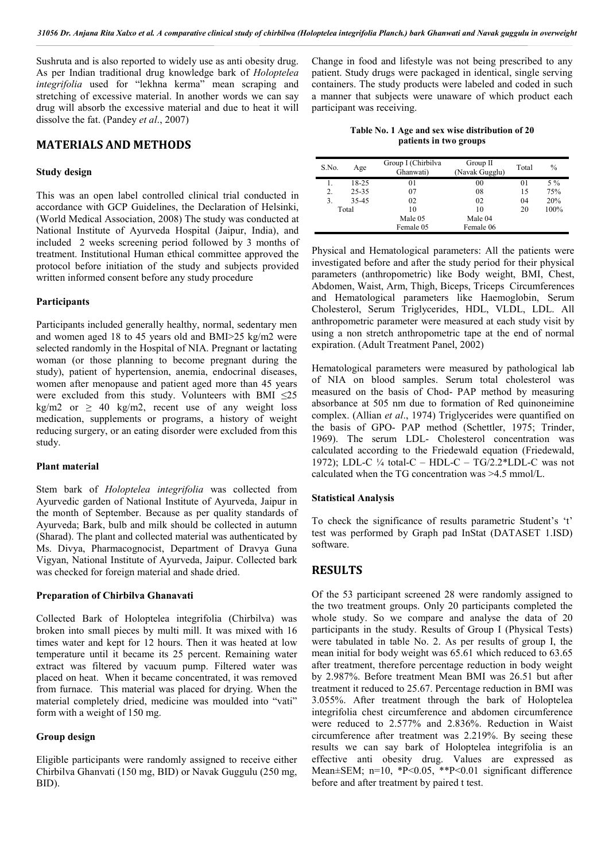Sushruta and is also reported to widely use as anti obesity drug. As per Indian traditional drug knowledge bark of *Holoptelea integrifolia* used for "lekhna kerma" mean scraping and stretching of excessive material. In another words we can say drug will absorb the excessive material and due to heat it will dissolve the fat. (Pandey *et al*., 2007)

## **MATERIALS AND METHODS**

#### **Study design**

This was an open label controlled clinical trial conducted in accordance with GCP Guidelines, the Declaration of Helsinki, (World Medical Association, 2008) The study was conducted at National Institute of Ayurveda Hospital (Jaipur, India), and included 2 weeks screening period followed by 3 months of treatment. Institutional Human ethical committee approved the protocol before initiation of the study and subjects provided written informed consent before any study procedure

#### **Participants**

Participants included generally healthy, normal, sedentary men and women aged 18 to 45 years old and BMI>25 kg/m2 were selected randomly in the Hospital of NIA. Pregnant or lactating woman (or those planning to become pregnant during the study), patient of hypertension, anemia, endocrinal diseases, women after menopause and patient aged more than 45 years were excluded from this study. Volunteers with BMI  $\leq 25$ kg/m2 or  $\geq$  40 kg/m2, recent use of any weight loss medication, supplements or programs, a history of weight reducing surgery, or an eating disorder were excluded from this study.

## **Plant material**

Stem bark of *Holoptelea integrifolia* was collected from Ayurvedic garden of National Institute of Ayurveda, Jaipur in the month of September. Because as per quality standards of Ayurveda; Bark, bulb and milk should be collected in autumn (Sharad). The plant and collected material was authenticated by Ms. Divya, Pharmacognocist, Department of Dravya Guna Vigyan, National Institute of Ayurveda, Jaipur. Collected bark was checked for foreign material and shade dried.

#### **Preparation of Chirbilva Ghanavati**

Collected Bark of Holoptelea integrifolia (Chirbilva) was broken into small pieces by multi mill. It was mixed with 16 times water and kept for 12 hours. Then it was heated at low temperature until it became its 25 percent. Remaining water extract was filtered by vacuum pump. Filtered water was placed on heat. When it became concentrated, it was removed from furnace. This material was placed for drying. When the material completely dried, medicine was moulded into "vati" form with a weight of 150 mg.

#### **Group design**

Eligible participants were randomly assigned to receive either Chirbilva Ghanvati (150 mg, BID) or Navak Guggulu (250 mg, BID).

Change in food and lifestyle was not being prescribed to any patient. Study drugs were packaged in identical, single serving containers. The study products were labeled and coded in such a manner that subjects were unaware of which product each participant was receiving.

**Table No. 1 Age and sex wise distribution of 20 patients in two groups**

| S.No. | Age   | Group I (Chirbilva<br>Ghanwati) | Group II<br>(Navak Gugglu) | Total | $\%$  |
|-------|-------|---------------------------------|----------------------------|-------|-------|
|       | 18-25 | 01                              | 00                         | 01    | $5\%$ |
| 2.    | 25-35 | 07                              | 08                         | 15    | 75%   |
| 3.    | 35-45 | 02                              | 02                         | 04    | 20%   |
| Total |       | 10                              | 10                         | 20    | 100%  |
|       |       | Male 05                         | Male 04                    |       |       |
|       |       | Female 05                       | Female 06                  |       |       |

Physical and Hematological parameters: All the patients were investigated before and after the study period for their physical parameters (anthropometric) like Body weight, BMI, Chest, Abdomen, Waist, Arm, Thigh, Biceps, Triceps Circumferences and Hematological parameters like Haemoglobin, Serum Cholesterol, Serum Triglycerides, HDL, VLDL, LDL. All anthropometric parameter were measured at each study visit by using a non stretch anthropometric tape at the end of normal expiration. (Adult Treatment Panel, 2002)

Hematological parameters were measured by pathological lab of NIA on blood samples. Serum total cholesterol was measured on the basis of Chod- PAP method by measuring absorbance at 505 nm due to formation of Red quinoneimine complex. (Allian *et al*., 1974) Triglycerides were quantified on the basis of GPO- PAP method (Schettler, 1975; Trinder, 1969). The serum LDL- Cholesterol concentration was calculated according to the Friedewald equation (Friedewald, 1972); LDL-C  $\frac{1}{4}$  total-C – HDL-C – TG/2.2\*LDL-C was not calculated when the TG concentration was >4.5 mmol/L.

#### **Statistical Analysis**

To check the significance of results parametric Student's 't' test was performed by Graph pad InStat (DATASET 1.ISD) software.

## **RESULTS**

Of the 53 participant screened 28 were randomly assigned to the two treatment groups. Only 20 participants completed the whole study. So we compare and analyse the data of 20 participants in the study. Results of Group I (Physical Tests) were tabulated in table No. 2. As per results of group I, the mean initial for body weight was 65.61 which reduced to 63.65 after treatment, therefore percentage reduction in body weight by 2.987%. Before treatment Mean BMI was 26.51 but after treatment it reduced to 25.67. Percentage reduction in BMI was 3.055%. After treatment through the bark of Holoptelea integrifolia chest circumference and abdomen circumference were reduced to 2.577% and 2.836%. Reduction in Waist circumference after treatment was 2.219%. By seeing these results we can say bark of Holoptelea integrifolia is an effective anti obesity drug. Values are expressed as Mean±SEM; n=10, \*P<0.05, \*\*P<0.01 significant difference before and after treatment by paired t test.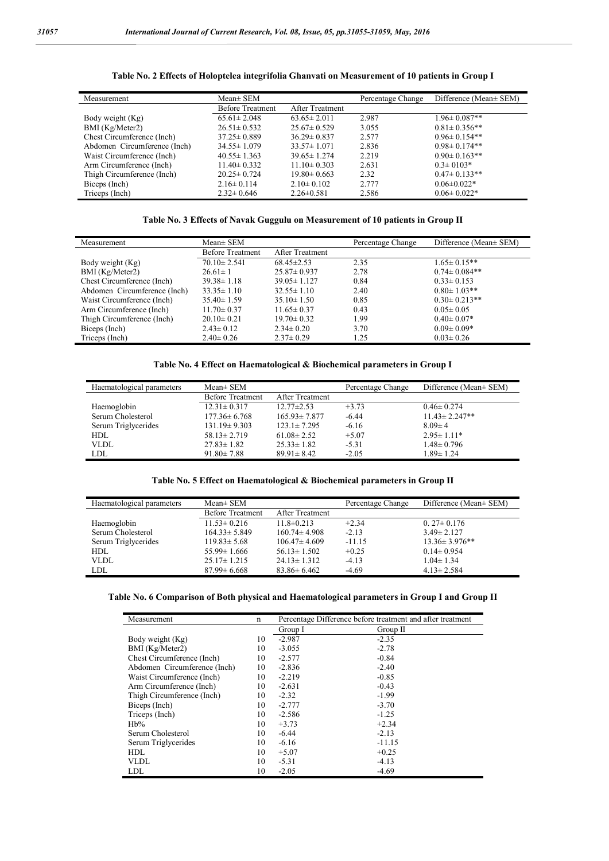Triceps (Inch)

Measurement Mean± SEM Percentage Change Difference (Mean± SEM) Before Treatment After Treatment<br>65.61 ± 2.048 63.65 ± 2.011 Body weight (Kg) 65.61± 2.048 63.65± 2.011 2.987 1.96± 0.087<sup>\*\*</sup><br>BMI (Kg/Meter2) 26.51± 0.532 25.67± 0.529 3.055 0.81± 0.356<sup>\*\*</sup> BMI (Kg/Meter2) 26.51± 0.532 25.67± 0.529 3.055 0.81± 0.356\*\*<br>Chest Circumference (Inch) 37.25± 0.889 36.29± 0.837 2.577 0.96± 0.154\*\* Chest Circumference (Inch) 37.25± 0.889 36.29± 0.837 2.577 0.96± 0.154\*\*<br>Abdomen Circumference (Inch) 34.55± 1.079 33.57± 1.071 2.836 0.98± 0.174\*\* Abdomen Circumference (Inch)  $34.55 \pm 1.079$   $33.57 \pm 1.071$  2.836 0.98 $\pm 0.174**$ <br>Waist Circumference (Inch)  $40.55 \pm 1.363$   $39.65 \pm 1.274$  2.219 0.90 $\pm 0.163**$ Waist Circumference (Inch)  $40.55 \pm 1.363$   $39.65 \pm 1.274$  2.219<br>Arm Circumference (Inch)  $11.40 \pm 0.332$   $11.10 \pm 0.303$  2.631 Arm Circumference (Inch)  $11.40 \pm 0.332$   $11.10 \pm 0.303$   $2.631$   $0.3 \pm 0103$  \*<br>Thigh Circumference (Inch)  $20.25 \pm 0.724$   $19.80 \pm 0.663$   $2.32$   $0.47 \pm 0.133$  \* Thigh Circumference (Inch) 20.25± 0.724 19.80± 0.663 2.32 0.47± 0.133\*<br>Biceps (Inch) 2.16± 0.114 2.10± 0.102 2.777 0.06±0.022\*

### **Table No. 2 Effects of Holoptelea integrifolia Ghanvati on Measurement of 10 patients in Group I**

#### **Table No. 3 Effects of Navak Guggulu on Measurement of 10 patients in Group II**

Biceps (Inch) 2.16± 0.114 2.10± 0.102 2.777 0.06± 0.022\*<br>Triceps (Inch) 2.32± 0.646 2.26± 0.581 2.586 0.06± 0.022\*

| Measurement                  | $Mean \pm SEM$          |                        | Difference (Mean ± SEM)<br>Percentage Change |                    |
|------------------------------|-------------------------|------------------------|----------------------------------------------|--------------------|
|                              | <b>Before Treatment</b> | <b>After Treatment</b> |                                              |                    |
| Body weight (Kg)             | $70.10 \pm 2.541$       | $68.45 \pm 2.53$       | 2.35                                         | $1.65 \pm 0.15**$  |
| BMI (Kg/Meter2)              | $26.61 \pm 1$           | $25.87 \pm 0.937$      | 2.78                                         | $0.74 \pm 0.084**$ |
| Chest Circumference (Inch)   | $39.38 \pm 1.18$        | $39.05 \pm 1.127$      | 0.84                                         | $0.33 \pm 0.153$   |
| Abdomen Circumference (Inch) | $33.35 \pm 1.10$        | $32.55 \pm 1.10$       | 2.40                                         | $0.80 \pm 1.03$ ** |
| Waist Circumference (Inch)   | $35.40 \pm 1.59$        | $35.10 \pm 1.50$       | 0.85                                         | $0.30 \pm 0.213**$ |
| Arm Circumference (Inch)     | $11.70 \pm 0.37$        | $11.65 \pm 0.37$       | 0.43                                         | $0.05 \pm 0.05$    |
| Thigh Circumference (Inch)   | $20.10 \pm 0.21$        | $19.70 \pm 0.32$       | 1.99                                         | $0.40 \pm 0.07*$   |
| Biceps (Inch)                | $2.43 \pm 0.12$         | $2.34 \pm 0.20$        | 3.70                                         | $0.09 \pm 0.09*$   |
| Triceps (Inch)               | $2.40 \pm 0.26$         | $2.37 \pm 0.29$        | 1.25                                         | $0.03 \pm 0.26$    |

## **Table No. 4 Effect on Haematological & Biochemical parameters in Group I**

| Haematological parameters | $Mean \pm SEM$          |                        | Percentage Change | Difference (Mean ± SEM) |  |
|---------------------------|-------------------------|------------------------|-------------------|-------------------------|--|
|                           | <b>Before Treatment</b> | <b>After Treatment</b> |                   |                         |  |
| Haemoglobin               | $12.31 \pm 0.317$       | $12.77 \pm 2.53$       | $+3.73$           | $0.46 \pm 0.274$        |  |
| Serum Cholesterol         | $177.36 \pm 6.768$      | $165.93 \pm 7.877$     | $-6.44$           | $11.43 \pm 2.247**$     |  |
| Serum Triglycerides       | $131.19 \pm 9.303$      | $123.1 \pm 7.295$      | $-6.16$           | $8.09 \pm 4$            |  |
| HDL                       | $58.13 \pm 2.719$       | $61.08 \pm 2.52$       | $+5.07$           | $2.95 \pm 1.11*$        |  |
| VLDL                      | $27.83 \pm 1.82$        | $25.33 \pm 1.82$       | $-5.31$           | $1.48 \pm 0.796$        |  |
| LDL                       | $91.80 \pm 7.88$        | $89.91 \pm 8.42$       | $-2.05$           | $1.89 \pm 1.24$         |  |

#### **Table No. 5 Effect on Haematological & Biochemical parameters in Group II**

| Haematological parameters | $Mean \pm SEM$          |                    | Percentage Change | Difference (Mean ± SEM) |  |
|---------------------------|-------------------------|--------------------|-------------------|-------------------------|--|
|                           | <b>Before Treatment</b> | After Treatment    |                   |                         |  |
| Haemoglobin               | $11.53 \pm 0.216$       | $11.8 \pm 0.213$   | $+2.34$           | $0.27 \pm 0.176$        |  |
| Serum Cholesterol         | $164.33 \pm 5.849$      | $160.74 \pm 4.908$ | $-2.13$           | $3.49 \pm 2.127$        |  |
| Serum Triglycerides       | $119.83 \pm 5.68$       | $106.47 \pm 4.609$ | $-11.15$          | $13.36 \pm 3.976$ **    |  |
| <b>HDL</b>                | $55.99 \pm 1.666$       | $56.13 \pm 1.502$  | $+0.25$           | $0.14 \pm 0.954$        |  |
| VLDL                      | $25.17 \pm 1.215$       | $24.13 \pm 1.312$  | $-4.13$           | $1.04 \pm 1.34$         |  |
| LDL                       | $87.99 \pm 6.668$       | $83.86 \pm 6.462$  | $-4.69$           | $4.13 \pm 2.584$        |  |

### **Table No. 6 Comparison of Both physical and Haematological parameters in Group I and Group II**

| Measurement                  | n  | Percentage Difference before treatment and after treatment |          |  |
|------------------------------|----|------------------------------------------------------------|----------|--|
|                              |    | Group I                                                    | Group II |  |
| Body weight (Kg)             | 10 | $-2.987$                                                   | $-2.35$  |  |
| BMI (Kg/Meter2)              | 10 | $-3.055$                                                   | $-2.78$  |  |
| Chest Circumference (Inch)   | 10 | $-2.577$                                                   | $-0.84$  |  |
| Abdomen Circumference (Inch) | 10 | $-2.836$                                                   | $-2.40$  |  |
| Waist Circumference (Inch)   | 10 | $-2.219$                                                   | $-0.85$  |  |
| Arm Circumference (Inch)     | 10 | $-2.631$                                                   | $-0.43$  |  |
| Thigh Circumference (Inch)   | 10 | $-2.32$                                                    | $-1.99$  |  |
| Biceps (Inch)                | 10 | $-2.777$                                                   | $-3.70$  |  |
| Triceps (Inch)               | 10 | $-2.586$                                                   | $-1.25$  |  |
| Hb%                          | 10 | $+3.73$                                                    | $+2.34$  |  |
| Serum Cholesterol            | 10 | $-6.44$                                                    | $-2.13$  |  |
| Serum Triglycerides          | 10 | $-6.16$                                                    | $-11.15$ |  |
| <b>HDL</b>                   | 10 | $+5.07$                                                    | $+0.25$  |  |
| <b>VLDL</b>                  | 10 | $-5.31$                                                    | $-4.13$  |  |
| LDL                          | 10 | $-2.05$                                                    | $-4.69$  |  |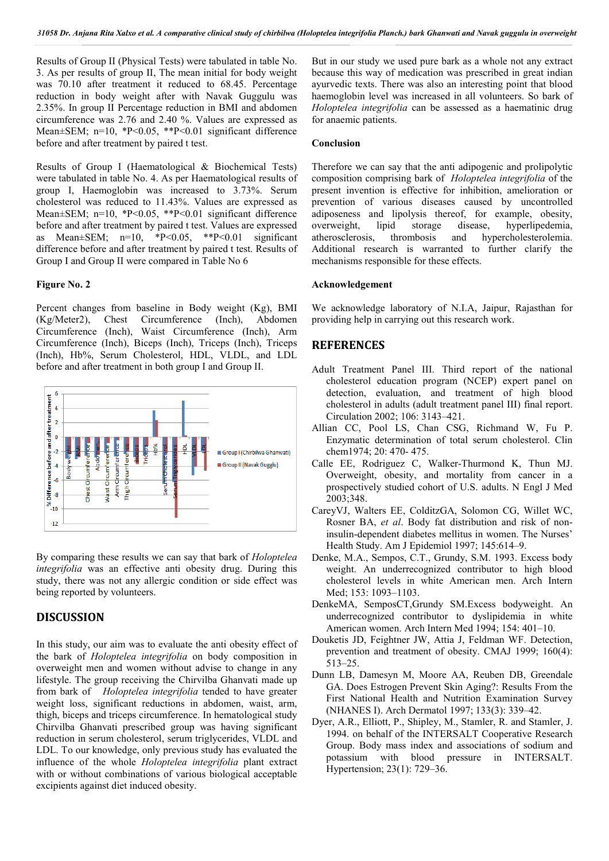Results of Group II (Physical Tests) were tabulated in table No. 3. As per results of group II, The mean initial for body weight was 70.10 after treatment it reduced to 68.45. Percentage reduction in body weight after with Navak Guggulu was 2.35%. In group II Percentage reduction in BMI and abdomen circumference was 2.76 and 2.40 %. Values are expressed as Mean±SEM; n=10, \*P<0.05, \*\*P<0.01 significant difference before and after treatment by paired t test.

Results of Group I (Haematological & Biochemical Tests) were tabulated in table No. 4. As per Haematological results of group I, Haemoglobin was increased to 3.73%. Serum cholesterol was reduced to 11.43%. Values are expressed as Mean±SEM; n=10, \*P<0.05, \*\*P<0.01 significant difference before and after treatment by paired t test. Values are expressed as Mean $\pm$ SEM; n=10, \*P<0.05, \*\*P<0.01 significant difference before and after treatment by paired t test. Results of Group I and Group II were compared in Table No 6

### **Figure No. 2**

Percent changes from baseline in Body weight (Kg), BMI (Kg/Meter2), Chest Circumference (Inch), Abdomen Circumference (Inch), Waist Circumference (Inch), Arm Circumference (Inch), Biceps (Inch), Triceps (Inch), Triceps (Inch), Hb%, Serum Cholesterol, HDL, VLDL, and LDL before and after treatment in both group I and Group II.



By comparing these results we can say that bark of *Holoptelea integrifolia* was an effective anti obesity drug. During this study, there was not any allergic condition or side effect was being reported by volunteers.

## **DISCUSSION**

In this study, our aim was to evaluate the anti obesity effect of the bark of *Holoptelea integrifolia* on body composition in overweight men and women without advise to change in any lifestyle. The group receiving the Chirvilba Ghanvati made up from bark of *Holoptelea integrifolia* tended to have greater weight loss, significant reductions in abdomen, waist, arm, thigh, biceps and triceps circumference. In hematological study Chirvilba Ghanvati prescribed group was having significant reduction in serum cholesterol, serum triglycerides, VLDL and LDL. To our knowledge, only previous study has evaluated the influence of the whole *Holoptelea integrifolia* plant extract with or without combinations of various biological acceptable excipients against diet induced obesity.

But in our study we used pure bark as a whole not any extract because this way of medication was prescribed in great indian ayurvedic texts. There was also an interesting point that blood haemoglobin level was increased in all volunteers. So bark of *Holoptelea integrifolia* can be assessed as a haematinic drug for anaemic patients.

#### **Conclusion**

Therefore we can say that the anti adipogenic and prolipolytic composition comprising bark of *Holoptelea integrifolia* of the present invention is effective for inhibition, amelioration or prevention of various diseases caused by uncontrolled adiposeness and lipolysis thereof, for example, obesity, overweight, lipid storage disease, hyperlipedemia, atherosclerosis, thrombosis and hypercholesterolemia. Additional research is warranted to further clarify the mechanisms responsible for these effects.

### **Acknowledgement**

We acknowledge laboratory of N.I.A, Jaipur, Rajasthan for providing help in carrying out this research work.

## **REFERENCES**

- Adult Treatment Panel III. Third report of the national cholesterol education program (NCEP) expert panel on detection, evaluation, and treatment of high blood cholesterol in adults (adult treatment panel III) final report. Circulation 2002; 106: 3143–421.
- Allian CC, Pool LS, Chan CSG, Richmand W, Fu P. Enzymatic determination of total serum cholesterol. Clin chem1974; 20: 470- 475.
- Calle EE, Rodriguez C, Walker-Thurmond K, Thun MJ. Overweight, obesity, and mortality from cancer in a prospectively studied cohort of U.S. adults. N Engl J Med 2003;348.
- CareyVJ, Walters EE, ColditzGA, Solomon CG, Willet WC, Rosner BA, *et al*. Body fat distribution and risk of noninsulin-dependent diabetes mellitus in women. The Nurses' Health Study. Am J Epidemiol 1997; 145:614–9.
- Denke, M.A., Sempos, C.T., Grundy, S.M. 1993. Excess body weight. An underrecognized contributor to high blood cholesterol levels in white American men. Arch Intern Med; 153: 1093–1103.
- DenkeMA, SemposCT,Grundy SM.Excess bodyweight. An underrecognized contributor to dyslipidemia in white American women. Arch Intern Med 1994; 154: 401–10.
- Douketis JD, Feightner JW, Attia J, Feldman WF. Detection, prevention and treatment of obesity. CMAJ 1999; 160(4): 513–25.
- Dunn LB, Damesyn M, Moore AA, Reuben DB, Greendale GA. Does Estrogen Prevent Skin Aging?: Results From the First National Health and Nutrition Examination Survey (NHANES I). Arch Dermatol 1997; 133(3): 339–42.
- Dyer, A.R., Elliott, P., Shipley, M., Stamler, R. and Stamler, J. 1994. on behalf of the INTERSALT Cooperative Research Group. Body mass index and associations of sodium and potassium with blood pressure in INTERSALT. Hypertension; 23(1): 729–36.